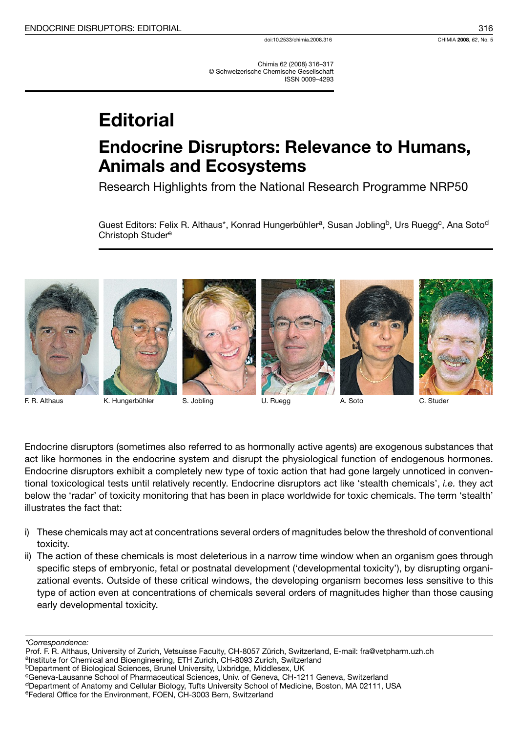## **Editorial**

## **Endocrine Disruptors: Relevance to Humans, Animals and Ecosystems**

Research Highlights from the National Research Programme NRP50

Guest Editors: Felix R. Althaus\*, Konrad Hungerbühler<sup>a</sup>, Susan Jobling<sup>b</sup>, Urs Ruegg<sup>c</sup>, Ana Soto<sup>d</sup> Christoph Studer<sup>e</sup>













F. R. Althaus

S. Jobling

U. Ruegg

C. Studer

Endocrine disruptors (sometimes also referred to as hormonally active agents) are exogenous substances that act like hormones in the endocrine system and disrupt the physiological function of endogenous hormones. Endocrine disruptors exhibit a completely new type of toxic action that had gone largely unnoticed in conventional toxicological tests until relatively recently. Endocrine disruptors act like 'stealth chemicals', i.e. they act below the 'radar' of toxicity monitoring that has been in place worldwide for toxic chemicals. The term 'stealth' illustrates the fact that:

- i) These chemicals may act at concentrations several orders of magnitudes below the threshold of conventional toxicity.
- ii) The action of these chemicals is most deleterious in a narrow time window when an organism goes through specific steps of embryonic, fetal or postnatal development ('developmental toxicity'), by disrupting organizational events. Outside of these critical windows, the developing organism becomes less sensitive to this type of action even at concentrations of chemicals several orders of magnitudes higher than those causing early developmental toxicity.

<sup>\*</sup>Correspondence:

Prof. F. R. Althaus, University of Zurich, Vetsuisse Faculty, CH-8057 Zürich, Switzerland, E-mail: fra@vetpharm.uzh.ch alnstitute for Chemical and Bioengineering, ETH Zurich, CH-8093 Zurich, Switzerland

<sup>&</sup>lt;sup>b</sup>Department of Biological Sciences, Brunel University, Uxbridge, Middlesex, UK

<sup>&</sup>lt;sup>c</sup>Geneva-Lausanne School of Pharmaceutical Sciences, Univ. of Geneva, CH-1211 Geneva, Switzerland

<sup>&</sup>lt;sup>d</sup>Department of Anatomy and Cellular Biology, Tufts University School of Medicine, Boston, MA 02111, USA

eFederal Office for the Environment, FOEN, CH-3003 Bern, Switzerland